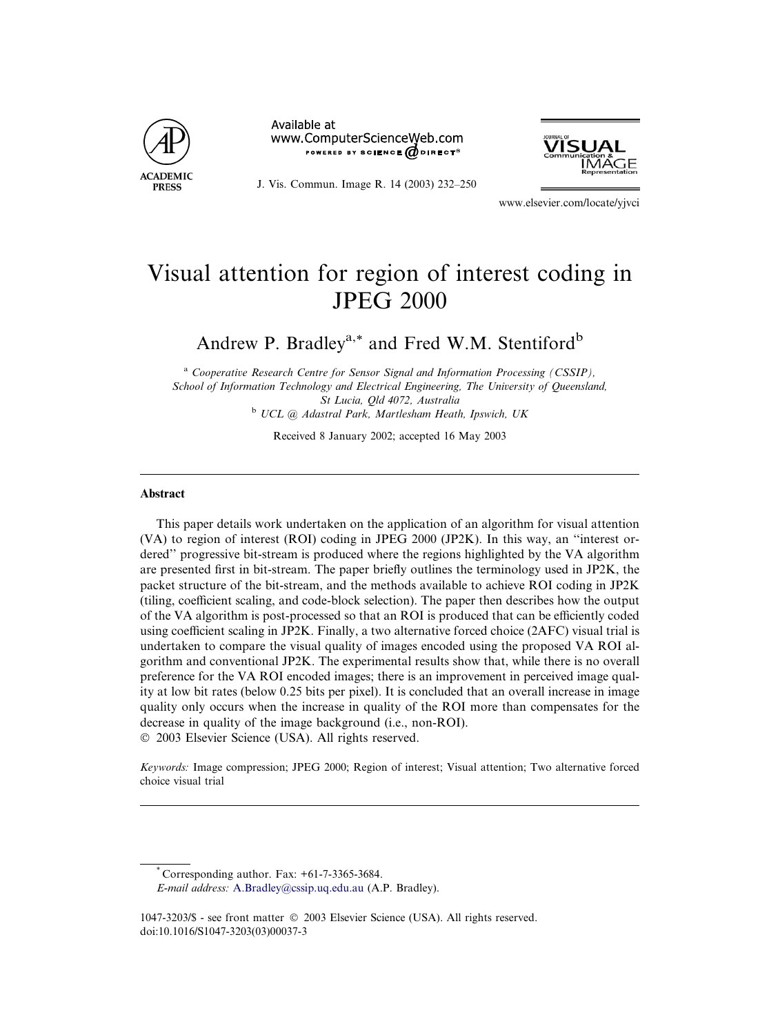

Available at www.ComputerScienceWeb.com POWERED BY SCIENCE  $\mathbb{Q}$  direct<sup>®</sup>

J. Vis. Commun. Image R. 14 (2003) 232–250



www.elsevier.com/locate/yjvci

# Visual attention for region of interest coding in JPEG 2000

Andrew P. Bradley<sup>a,\*</sup> and Fred W.M. Stentiford<sup>b</sup>

<sup>a</sup> Cooperative Research Centre for Sensor Signal and Information Processing (CSSIP), School of Information Technology and Electrical Engineering, The University of Queensland, St Lucia, Qld 4072, Australia <sup>b</sup> UCL @ Adastral Park, Martlesham Heath, Ipswich, UK

Received 8 January 2002; accepted 16 May 2003

#### Abstract

This paper details work undertaken on the application of an algorithm for visual attention (VA) to region of interest (ROI) coding in JPEG 2000 (JP2K). In this way, an ''interest ordered'' progressive bit-stream is produced where the regions highlighted by the VA algorithm are presented first in bit-stream. The paper briefly outlines the terminology used in JP2K, the packet structure of the bit-stream, and the methods available to achieve ROI coding in JP2K (tiling, coefficient scaling, and code-block selection). The paper then describes how the output of the VA algorithm is post-processed so that an ROI is produced that can be efficiently coded using coefficient scaling in JP2K. Finally, a two alternative forced choice (2AFC) visual trial is undertaken to compare the visual quality of images encoded using the proposed VA ROI algorithm and conventional JP2K. The experimental results show that, while there is no overall preference for the VA ROI encoded images; there is an improvement in perceived image quality at low bit rates (below 0.25 bits per pixel). It is concluded that an overall increase in image quality only occurs when the increase in quality of the ROI more than compensates for the decrease in quality of the image background (i.e., non-ROI). 2003 Elsevier Science (USA). All rights reserved.

Keywords: Image compression; JPEG 2000; Region of interest; Visual attention; Two alternative forced choice visual trial

 $*$  Corresponding author. Fax:  $+61-7-3365-3684$ . E-mail address: [A.Bradley@cssip.uq.edu.au](mail to: A.Bradley@cssip.uq.edu.au) (A.P. Bradley).

<sup>1047-3203/\$ -</sup> see front matter  $\odot$  2003 Elsevier Science (USA). All rights reserved. doi:10.1016/S1047-3203(03)00037-3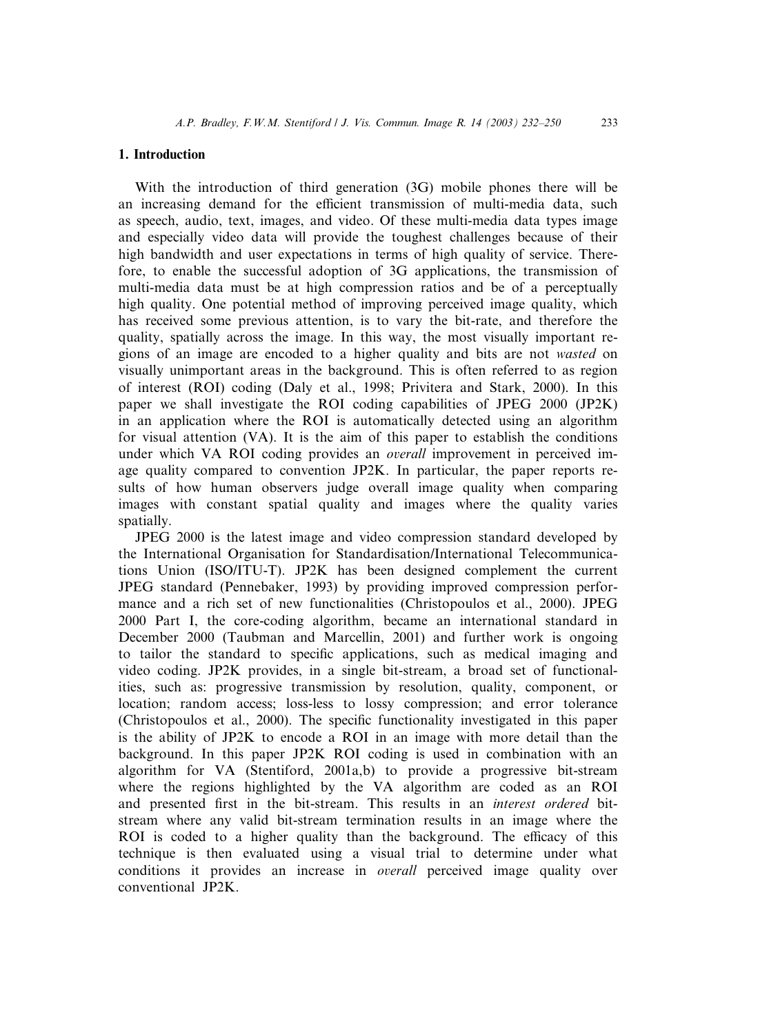# 1. Introduction

With the introduction of third generation (3G) mobile phones there will be an increasing demand for the efficient transmission of multi-media data, such as speech, audio, text, images, and video. Of these multi-media data types image and especially video data will provide the toughest challenges because of their high bandwidth and user expectations in terms of high quality of service. Therefore, to enable the successful adoption of 3G applications, the transmission of multi-media data must be at high compression ratios and be of a perceptually high quality. One potential method of improving perceived image quality, which has received some previous attention, is to vary the bit-rate, and therefore the quality, spatially across the image. In this way, the most visually important regions of an image are encoded to a higher quality and bits are not wasted on visually unimportant areas in the background. This is often referred to as region of interest (ROI) coding (Daly et al., 1998; Privitera and Stark, 2000). In this paper we shall investigate the ROI coding capabilities of JPEG 2000 (JP2K) in an application where the ROI is automatically detected using an algorithm for visual attention (VA). It is the aim of this paper to establish the conditions under which VA ROI coding provides an *overall* improvement in perceived image quality compared to convention JP2K. In particular, the paper reports results of how human observers judge overall image quality when comparing images with constant spatial quality and images where the quality varies spatially.

JPEG 2000 is the latest image and video compression standard developed by the International Organisation for Standardisation/International Telecommunications Union (ISO/ITU-T). JP2K has been designed complement the current JPEG standard (Pennebaker, 1993) by providing improved compression performance and a rich set of new functionalities (Christopoulos et al., 2000). JPEG 2000 Part I, the core-coding algorithm, became an international standard in December 2000 (Taubman and Marcellin, 2001) and further work is ongoing to tailor the standard to specific applications, such as medical imaging and video coding. JP2K provides, in a single bit-stream, a broad set of functionalities, such as: progressive transmission by resolution, quality, component, or location; random access; loss-less to lossy compression; and error tolerance (Christopoulos et al., 2000). The specific functionality investigated in this paper is the ability of JP2K to encode a ROI in an image with more detail than the background. In this paper JP2K ROI coding is used in combination with an algorithm for VA (Stentiford, 2001a,b) to provide a progressive bit-stream where the regions highlighted by the VA algorithm are coded as an ROI and presented first in the bit-stream. This results in an *interest ordered* bitstream where any valid bit-stream termination results in an image where the ROI is coded to a higher quality than the background. The efficacy of this technique is then evaluated using a visual trial to determine under what conditions it provides an increase in overall perceived image quality over conventional JP2K.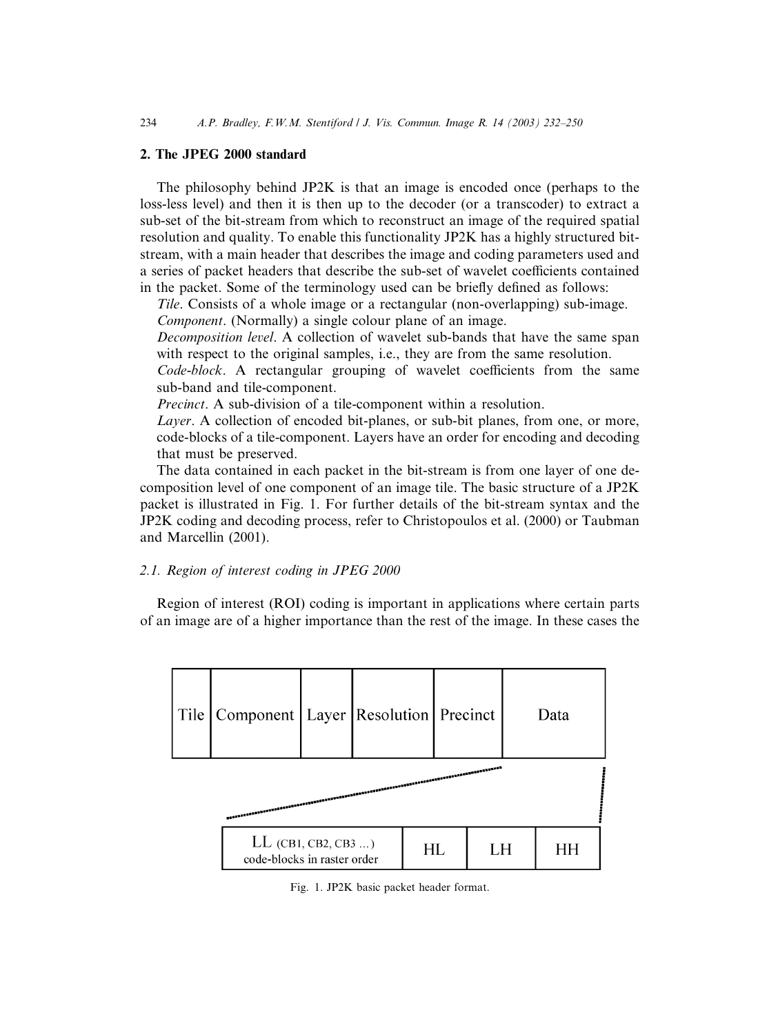## 2. The JPEG 2000 standard

The philosophy behind JP2K is that an image is encoded once (perhaps to the loss-less level) and then it is then up to the decoder (or a transcoder) to extract a sub-set of the bit-stream from which to reconstruct an image of the required spatial resolution and quality. To enable this functionality JP2K has a highly structured bitstream, with a main header that describes the image and coding parameters used and a series of packet headers that describe the sub-set of wavelet coefficients contained in the packet. Some of the terminology used can be briefly defined as follows:

Tile. Consists of a whole image or a rectangular (non-overlapping) sub-image. Component. (Normally) a single colour plane of an image.

Decomposition level. A collection of wavelet sub-bands that have the same span with respect to the original samples, i.e., they are from the same resolution.

Code-block. A rectangular grouping of wavelet coefficients from the same sub-band and tile-component.

Precinct. A sub-division of a tile-component within a resolution.

Layer. A collection of encoded bit-planes, or sub-bit planes, from one, or more, code-blocks of a tile-component. Layers have an order for encoding and decoding that must be preserved.

The data contained in each packet in the bit-stream is from one layer of one decomposition level of one component of an image tile. The basic structure of a JP2K packet is illustrated in Fig. 1. For further details of the bit-stream syntax and the JP2K coding and decoding process, refer to Christopoulos et al. (2000) or Taubman and Marcellin (2001).

# 2.1. Region of interest coding in JPEG 2000

Region of interest (ROI) coding is important in applications where certain parts of an image are of a higher importance than the rest of the image. In these cases the

|                                                      | Tile   Component   Layer   Resolution   Precinct |  |  |    |  |  | Data |  |  |
|------------------------------------------------------|--------------------------------------------------|--|--|----|--|--|------|--|--|
| 为经销品情节就感受保健体系性病性病性病性疾病性病                             |                                                  |  |  |    |  |  |      |  |  |
| LL $(CB1, CB2, CB3 )$<br>code-blocks in raster order |                                                  |  |  | HL |  |  |      |  |  |

Fig. 1. JP2K basic packet header format.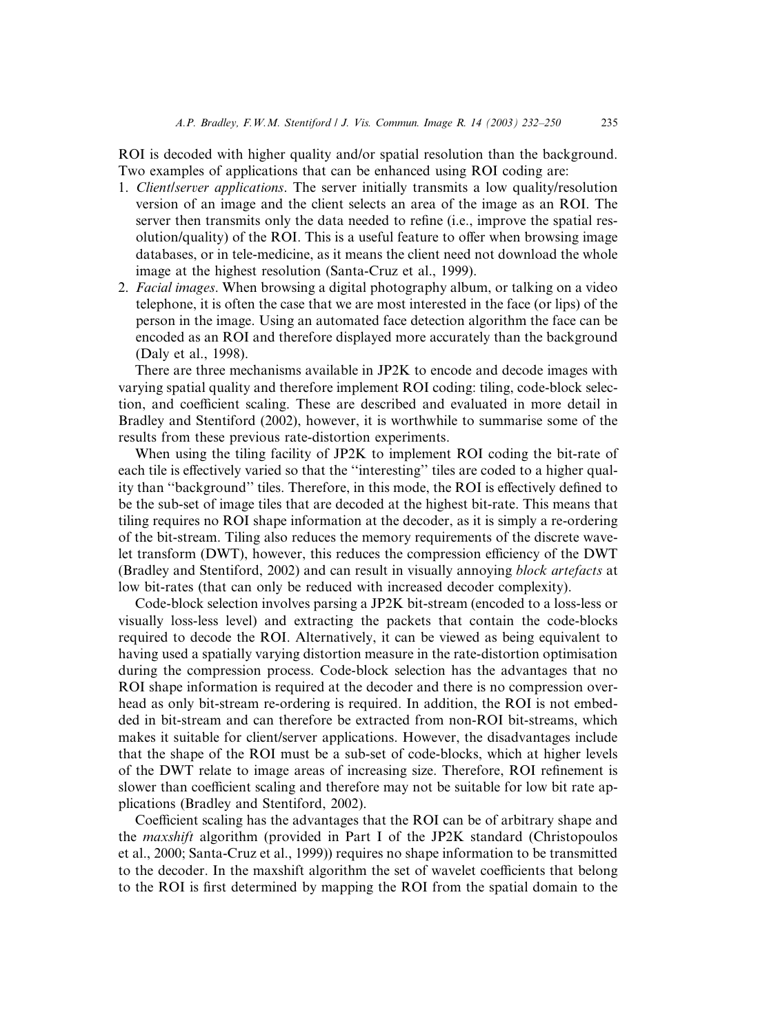ROI is decoded with higher quality and/or spatial resolution than the background. Two examples of applications that can be enhanced using ROI coding are:

- 1. Client/server applications. The server initially transmits a low quality/resolution version of an image and the client selects an area of the image as an ROI. The server then transmits only the data needed to refine (i.e., improve the spatial resolution/quality) of the ROI. This is a useful feature to offer when browsing image databases, or in tele-medicine, as it means the client need not download the whole image at the highest resolution (Santa-Cruz et al., 1999).
- 2. Facial images. When browsing a digital photography album, or talking on a video telephone, it is often the case that we are most interested in the face (or lips) of the person in the image. Using an automated face detection algorithm the face can be encoded as an ROI and therefore displayed more accurately than the background (Daly et al., 1998).

There are three mechanisms available in JP2K to encode and decode images with varying spatial quality and therefore implement ROI coding: tiling, code-block selection, and coefficient scaling. These are described and evaluated in more detail in Bradley and Stentiford (2002), however, it is worthwhile to summarise some of the results from these previous rate-distortion experiments.

When using the tiling facility of JP2K to implement ROI coding the bit-rate of each tile is effectively varied so that the ''interesting'' tiles are coded to a higher quality than ''background'' tiles. Therefore, in this mode, the ROI is effectively defined to be the sub-set of image tiles that are decoded at the highest bit-rate. This means that tiling requires no ROI shape information at the decoder, as it is simply a re-ordering of the bit-stream. Tiling also reduces the memory requirements of the discrete wavelet transform (DWT), however, this reduces the compression efficiency of the DWT (Bradley and Stentiford, 2002) and can result in visually annoying block artefacts at low bit-rates (that can only be reduced with increased decoder complexity).

Code-block selection involves parsing a JP2K bit-stream (encoded to a loss-less or visually loss-less level) and extracting the packets that contain the code-blocks required to decode the ROI. Alternatively, it can be viewed as being equivalent to having used a spatially varying distortion measure in the rate-distortion optimisation during the compression process. Code-block selection has the advantages that no ROI shape information is required at the decoder and there is no compression overhead as only bit-stream re-ordering is required. In addition, the ROI is not embedded in bit-stream and can therefore be extracted from non-ROI bit-streams, which makes it suitable for client/server applications. However, the disadvantages include that the shape of the ROI must be a sub-set of code-blocks, which at higher levels of the DWT relate to image areas of increasing size. Therefore, ROI refinement is slower than coefficient scaling and therefore may not be suitable for low bit rate applications (Bradley and Stentiford, 2002).

Coefficient scaling has the advantages that the ROI can be of arbitrary shape and the maxshift algorithm (provided in Part I of the JP2K standard (Christopoulos et al., 2000; Santa-Cruz et al., 1999)) requires no shape information to be transmitted to the decoder. In the maxshift algorithm the set of wavelet coefficients that belong to the ROI is first determined by mapping the ROI from the spatial domain to the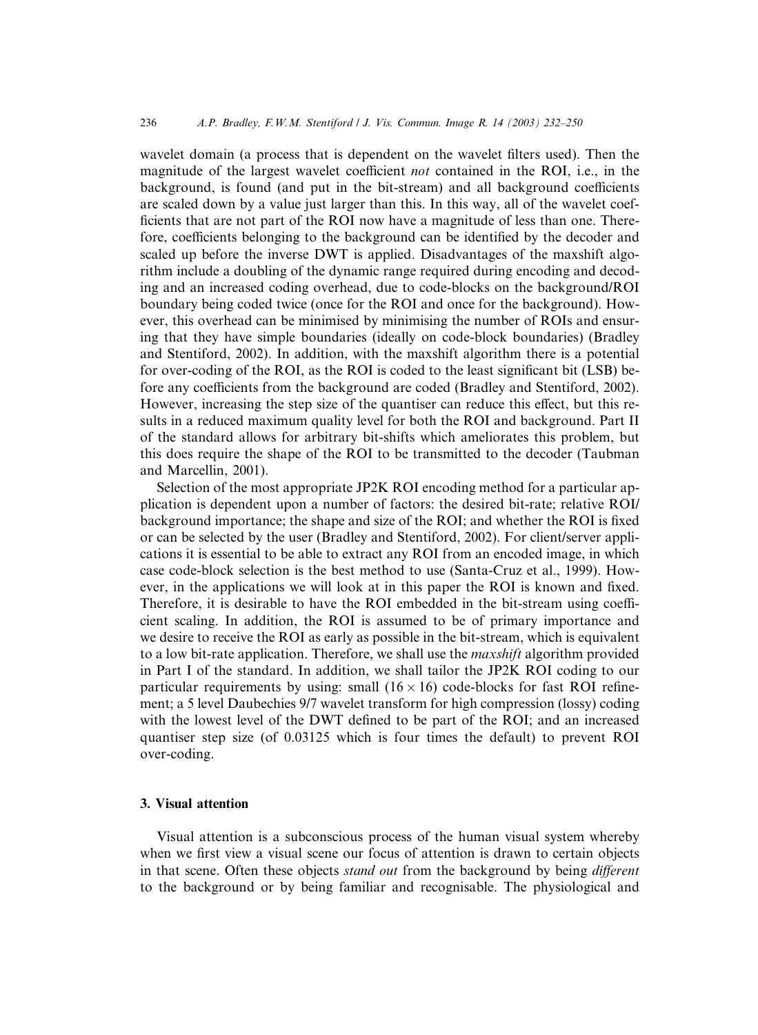wavelet domain (a process that is dependent on the wavelet filters used). Then the magnitude of the largest wavelet coefficient not contained in the ROI, i.e., in the background, is found (and put in the bit-stream) and all background coefficients are scaled down by a value just larger than this. In this way, all of the wavelet coefficients that are not part of the ROI now have a magnitude of less than one. Therefore, coefficients belonging to the background can be identified by the decoder and scaled up before the inverse DWT is applied. Disadvantages of the maxshift algorithm include a doubling of the dynamic range required during encoding and decoding and an increased coding overhead, due to code-blocks on the background/ROI boundary being coded twice (once for the ROI and once for the background). However, this overhead can be minimised by minimising the number of ROIs and ensuring that they have simple boundaries (ideally on code-block boundaries) (Bradley and Stentiford, 2002). In addition, with the maxshift algorithm there is a potential for over-coding of the ROI, as the ROI is coded to the least significant bit (LSB) before any coefficients from the background are coded (Bradley and Stentiford, 2002). However, increasing the step size of the quantiser can reduce this effect, but this results in a reduced maximum quality level for both the ROI and background. Part II of the standard allows for arbitrary bit-shifts which ameliorates this problem, but this does require the shape of the ROI to be transmitted to the decoder (Taubman and Marcellin, 2001).

Selection of the most appropriate JP2K ROI encoding method for a particular application is dependent upon a number of factors: the desired bit-rate; relative ROI/ background importance; the shape and size of the ROI; and whether the ROI is fixed or can be selected by the user (Bradley and Stentiford, 2002). For client/server applications it is essential to be able to extract any ROI from an encoded image, in which case code-block selection is the best method to use (Santa-Cruz et al., 1999). However, in the applications we will look at in this paper the ROI is known and fixed. Therefore, it is desirable to have the ROI embedded in the bit-stream using coefficient scaling. In addition, the ROI is assumed to be of primary importance and we desire to receive the ROI as early as possible in the bit-stream, which is equivalent to a low bit-rate application. Therefore, we shall use the *maxshift* algorithm provided in Part I of the standard. In addition, we shall tailor the JP2K ROI coding to our particular requirements by using: small  $(16 \times 16)$  code-blocks for fast ROI refinement; a 5 level Daubechies 9/7 wavelet transform for high compression (lossy) coding with the lowest level of the DWT defined to be part of the ROI; and an increased quantiser step size (of 0.03125 which is four times the default) to prevent ROI over-coding.

# 3. Visual attention

Visual attention is a subconscious process of the human visual system whereby when we first view a visual scene our focus of attention is drawn to certain objects in that scene. Often these objects *stand out* from the background by being *different* to the background or by being familiar and recognisable. The physiological and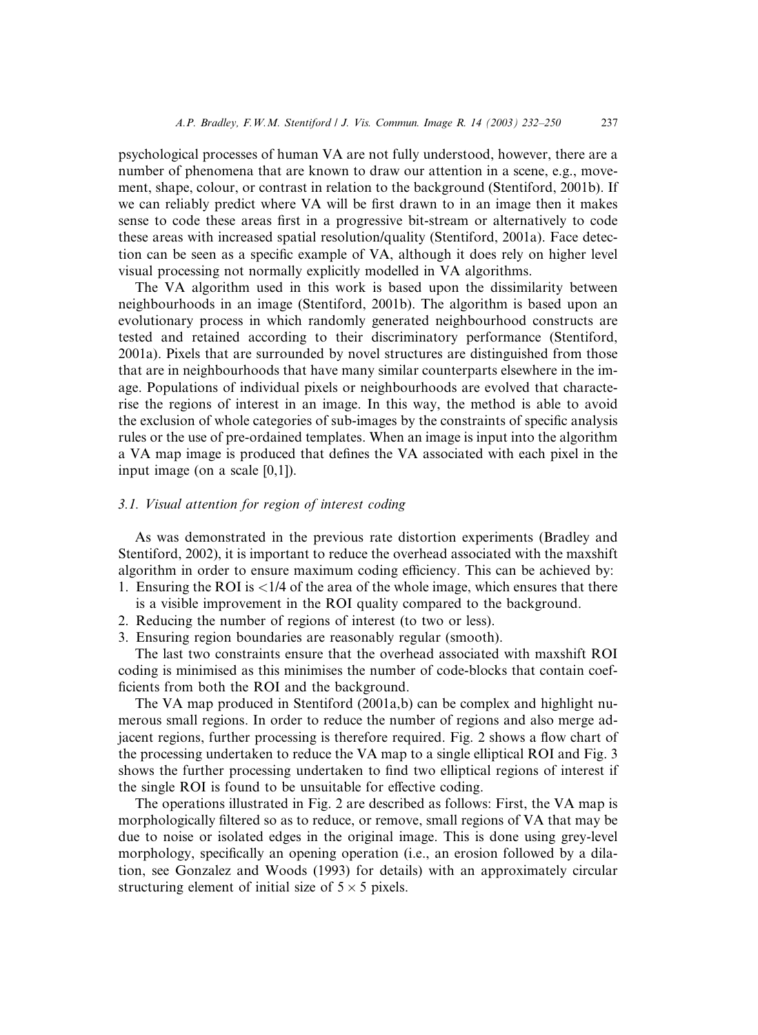psychological processes of human VA are not fully understood, however, there are a number of phenomena that are known to draw our attention in a scene, e.g., movement, shape, colour, or contrast in relation to the background (Stentiford, 2001b). If we can reliably predict where VA will be first drawn to in an image then it makes sense to code these areas first in a progressive bit-stream or alternatively to code these areas with increased spatial resolution/quality (Stentiford, 2001a). Face detection can be seen as a specific example of VA, although it does rely on higher level visual processing not normally explicitly modelled in VA algorithms.

The VA algorithm used in this work is based upon the dissimilarity between neighbourhoods in an image (Stentiford, 2001b). The algorithm is based upon an evolutionary process in which randomly generated neighbourhood constructs are tested and retained according to their discriminatory performance (Stentiford, 2001a). Pixels that are surrounded by novel structures are distinguished from those that are in neighbourhoods that have many similar counterparts elsewhere in the image. Populations of individual pixels or neighbourhoods are evolved that characterise the regions of interest in an image. In this way, the method is able to avoid the exclusion of whole categories of sub-images by the constraints of specific analysis rules or the use of pre-ordained templates. When an image is input into the algorithm a VA map image is produced that defines the VA associated with each pixel in the input image (on a scale [0,1]).

# 3.1. Visual attention for region of interest coding

As was demonstrated in the previous rate distortion experiments (Bradley and Stentiford, 2002), it is important to reduce the overhead associated with the maxshift algorithm in order to ensure maximum coding efficiency. This can be achieved by:

- 1. Ensuring the ROI is <1/4 of the area of the whole image, which ensures that there is a visible improvement in the ROI quality compared to the background.
- 2. Reducing the number of regions of interest (to two or less).
- 3. Ensuring region boundaries are reasonably regular (smooth).

The last two constraints ensure that the overhead associated with maxshift ROI coding is minimised as this minimises the number of code-blocks that contain coefficients from both the ROI and the background.

The VA map produced in Stentiford (2001a,b) can be complex and highlight numerous small regions. In order to reduce the number of regions and also merge adjacent regions, further processing is therefore required. Fig. 2 shows a flow chart of the processing undertaken to reduce the VA map to a single elliptical ROI and Fig. 3 shows the further processing undertaken to find two elliptical regions of interest if the single ROI is found to be unsuitable for effective coding.

The operations illustrated in Fig. 2 are described as follows: First, the VA map is morphologically filtered so as to reduce, or remove, small regions of VA that may be due to noise or isolated edges in the original image. This is done using grey-level morphology, specifically an opening operation (i.e., an erosion followed by a dilation, see Gonzalez and Woods (1993) for details) with an approximately circular structuring element of initial size of  $5 \times 5$  pixels.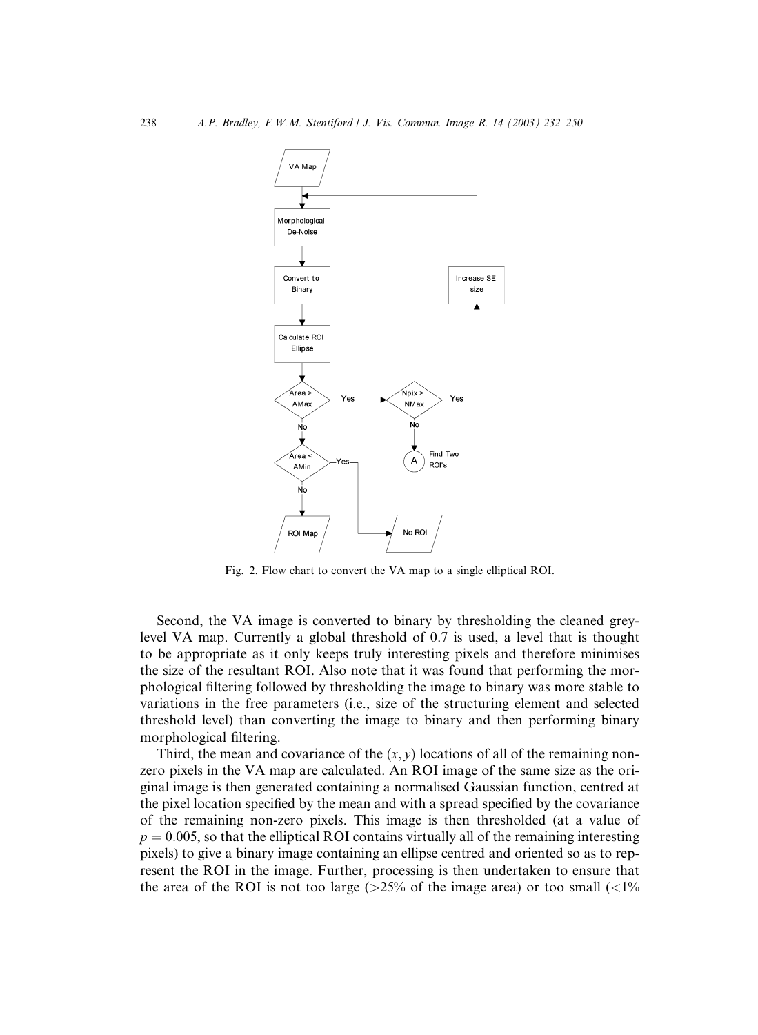

Fig. 2. Flow chart to convert the VA map to a single elliptical ROI.

Second, the VA image is converted to binary by thresholding the cleaned greylevel VA map. Currently a global threshold of 0.7 is used, a level that is thought to be appropriate as it only keeps truly interesting pixels and therefore minimises the size of the resultant ROI. Also note that it was found that performing the morphological filtering followed by thresholding the image to binary was more stable to variations in the free parameters (i.e., size of the structuring element and selected threshold level) than converting the image to binary and then performing binary morphological filtering.

Third, the mean and covariance of the  $(x, y)$  locations of all of the remaining nonzero pixels in the VA map are calculated. An ROI image of the same size as the original image is then generated containing a normalised Gaussian function, centred at the pixel location specified by the mean and with a spread specified by the covariance of the remaining non-zero pixels. This image is then thresholded (at a value of  $p = 0.005$ , so that the elliptical ROI contains virtually all of the remaining interesting pixels) to give a binary image containing an ellipse centred and oriented so as to represent the ROI in the image. Further, processing is then undertaken to ensure that the area of the ROI is not too large  $(>25\%$  of the image area) or too small  $(<1\%$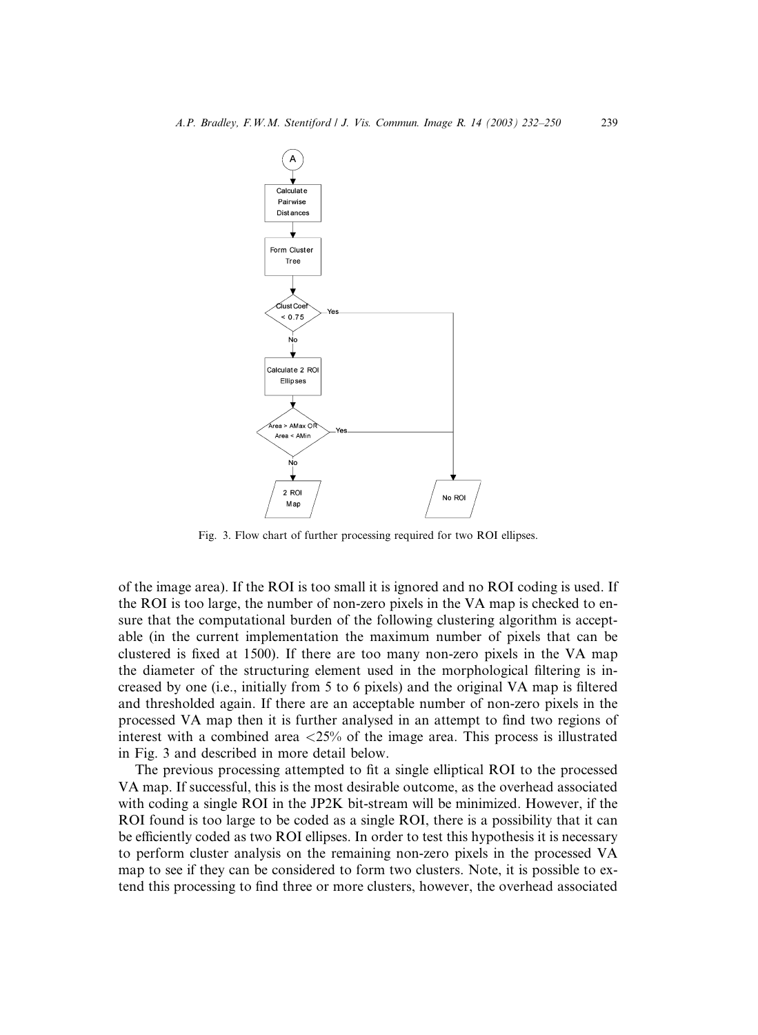

Fig. 3. Flow chart of further processing required for two ROI ellipses.

of the image area). If the ROI is too small it is ignored and no ROI coding is used. If the ROI is too large, the number of non-zero pixels in the VA map is checked to ensure that the computational burden of the following clustering algorithm is acceptable (in the current implementation the maximum number of pixels that can be clustered is fixed at 1500). If there are too many non-zero pixels in the VA map the diameter of the structuring element used in the morphological filtering is increased by one (i.e., initially from 5 to 6 pixels) and the original VA map is filtered and thresholded again. If there are an acceptable number of non-zero pixels in the processed VA map then it is further analysed in an attempt to find two regions of interest with a combined area  $\langle 25\%$  of the image area. This process is illustrated in Fig. 3 and described in more detail below.

The previous processing attempted to fit a single elliptical ROI to the processed VA map. If successful, this is the most desirable outcome, as the overhead associated with coding a single ROI in the JP2K bit-stream will be minimized. However, if the ROI found is too large to be coded as a single ROI, there is a possibility that it can be efficiently coded as two ROI ellipses. In order to test this hypothesis it is necessary to perform cluster analysis on the remaining non-zero pixels in the processed VA map to see if they can be considered to form two clusters. Note, it is possible to extend this processing to find three or more clusters, however, the overhead associated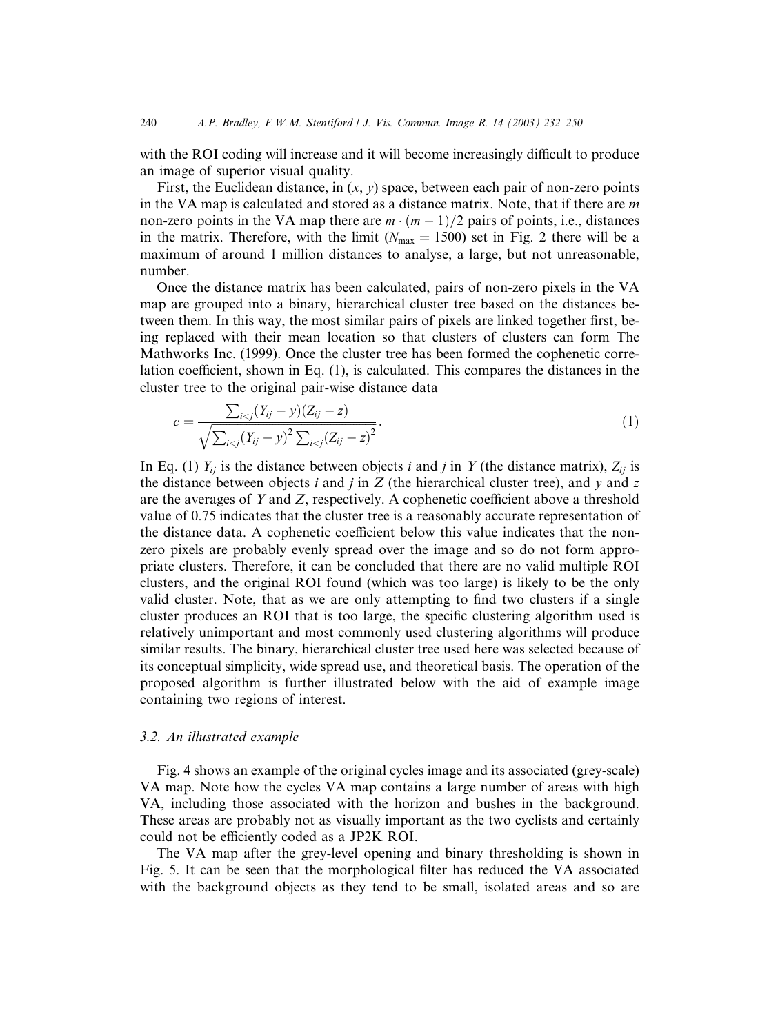with the ROI coding will increase and it will become increasingly difficult to produce an image of superior visual quality.

First, the Euclidean distance, in  $(x, y)$  space, between each pair of non-zero points in the VA map is calculated and stored as a distance matrix. Note, that if there are  $m$ non-zero points in the VA map there are  $m \cdot (m-1)/2$  pairs of points, i.e., distances in the matrix. Therefore, with the limit ( $N_{\text{max}} = 1500$ ) set in Fig. 2 there will be a maximum of around 1 million distances to analyse, a large, but not unreasonable, number.

Once the distance matrix has been calculated, pairs of non-zero pixels in the VA map are grouped into a binary, hierarchical cluster tree based on the distances between them. In this way, the most similar pairs of pixels are linked together first, being replaced with their mean location so that clusters of clusters can form The Mathworks Inc. (1999). Once the cluster tree has been formed the cophenetic correlation coefficient, shown in Eq. (1), is calculated. This compares the distances in the cluster tree to the original pair-wise distance data

$$
c = \frac{\sum_{i < j} (Y_{ij} - y)(Z_{ij} - z)}{\sqrt{\sum_{i < j} (Y_{ij} - y)^2 \sum_{i < j} (Z_{ij} - z)^2}}.
$$
\n<sup>(1)</sup>

In Eq. (1)  $Y_{ij}$  is the distance between objects i and j in Y (the distance matrix),  $Z_{ij}$  is the distance between objects i and j in  $Z$  (the hierarchical cluster tree), and y and z are the averages of Y and Z, respectively. A cophenetic coefficient above a threshold value of 0.75 indicates that the cluster tree is a reasonably accurate representation of the distance data. A cophenetic coefficient below this value indicates that the nonzero pixels are probably evenly spread over the image and so do not form appropriate clusters. Therefore, it can be concluded that there are no valid multiple ROI clusters, and the original ROI found (which was too large) is likely to be the only valid cluster. Note, that as we are only attempting to find two clusters if a single cluster produces an ROI that is too large, the specific clustering algorithm used is relatively unimportant and most commonly used clustering algorithms will produce similar results. The binary, hierarchical cluster tree used here was selected because of its conceptual simplicity, wide spread use, and theoretical basis. The operation of the proposed algorithm is further illustrated below with the aid of example image containing two regions of interest.

#### 3.2. An illustrated example

Fig. 4 shows an example of the original cycles image and its associated (grey-scale) VA map. Note how the cycles VA map contains a large number of areas with high VA, including those associated with the horizon and bushes in the background. These areas are probably not as visually important as the two cyclists and certainly could not be efficiently coded as a JP2K ROI.

The VA map after the grey-level opening and binary thresholding is shown in Fig. 5. It can be seen that the morphological filter has reduced the VA associated with the background objects as they tend to be small, isolated areas and so are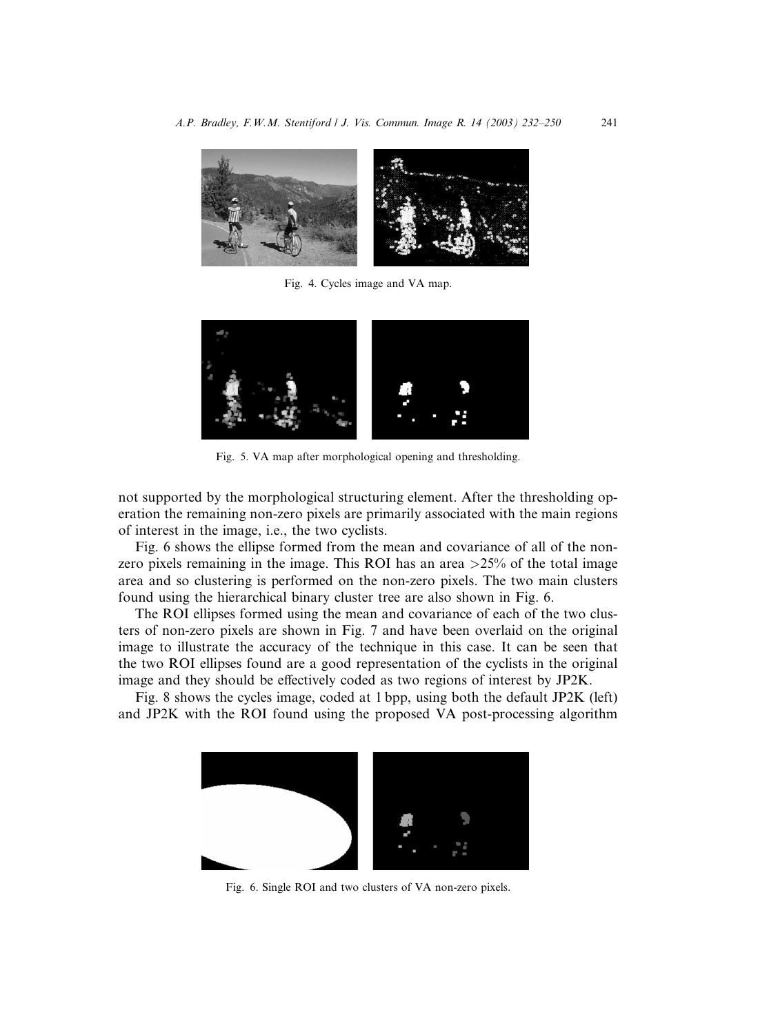

Fig. 4. Cycles image and VA map.



Fig. 5. VA map after morphological opening and thresholding.

not supported by the morphological structuring element. After the thresholding operation the remaining non-zero pixels are primarily associated with the main regions of interest in the image, i.e., the two cyclists.

Fig. 6 shows the ellipse formed from the mean and covariance of all of the nonzero pixels remaining in the image. This ROI has an area  $>25\%$  of the total image area and so clustering is performed on the non-zero pixels. The two main clusters found using the hierarchical binary cluster tree are also shown in Fig. 6.

The ROI ellipses formed using the mean and covariance of each of the two clusters of non-zero pixels are shown in Fig. 7 and have been overlaid on the original image to illustrate the accuracy of the technique in this case. It can be seen that the two ROI ellipses found are a good representation of the cyclists in the original image and they should be effectively coded as two regions of interest by JP2K.

Fig. 8 shows the cycles image, coded at 1 bpp, using both the default JP2K (left) and JP2K with the ROI found using the proposed VA post-processing algorithm



Fig. 6. Single ROI and two clusters of VA non-zero pixels.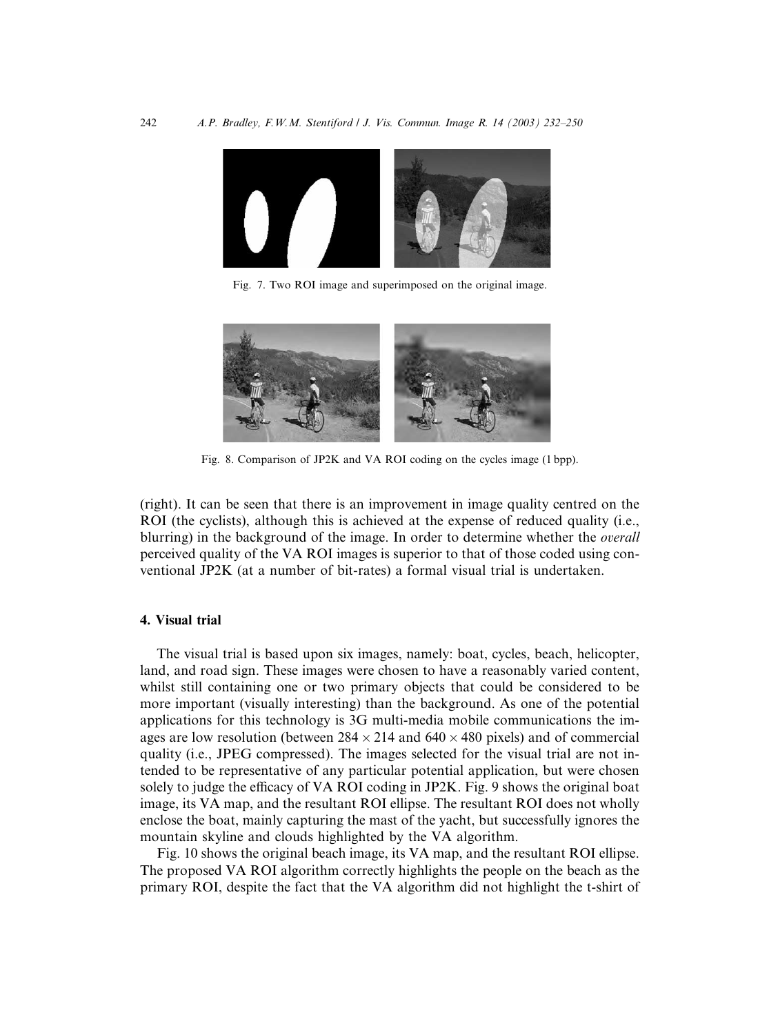

Fig. 7. Two ROI image and superimposed on the original image.



Fig. 8. Comparison of JP2K and VA ROI coding on the cycles image (1 bpp).

(right). It can be seen that there is an improvement in image quality centred on the ROI (the cyclists), although this is achieved at the expense of reduced quality (i.e., blurring) in the background of the image. In order to determine whether the overall perceived quality of the VA ROI images is superior to that of those coded using conventional JP2K (at a number of bit-rates) a formal visual trial is undertaken.

#### 4. Visual trial

The visual trial is based upon six images, namely: boat, cycles, beach, helicopter, land, and road sign. These images were chosen to have a reasonably varied content, whilst still containing one or two primary objects that could be considered to be more important (visually interesting) than the background. As one of the potential applications for this technology is 3G multi-media mobile communications the images are low resolution (between  $284 \times 214$  and  $640 \times 480$  pixels) and of commercial quality (i.e., JPEG compressed). The images selected for the visual trial are not intended to be representative of any particular potential application, but were chosen solely to judge the efficacy of VA ROI coding in JP2K. Fig. 9 shows the original boat image, its VA map, and the resultant ROI ellipse. The resultant ROI does not wholly enclose the boat, mainly capturing the mast of the yacht, but successfully ignores the mountain skyline and clouds highlighted by the VA algorithm.

Fig. 10 shows the original beach image, its VA map, and the resultant ROI ellipse. The proposed VA ROI algorithm correctly highlights the people on the beach as the primary ROI, despite the fact that the VA algorithm did not highlight the t-shirt of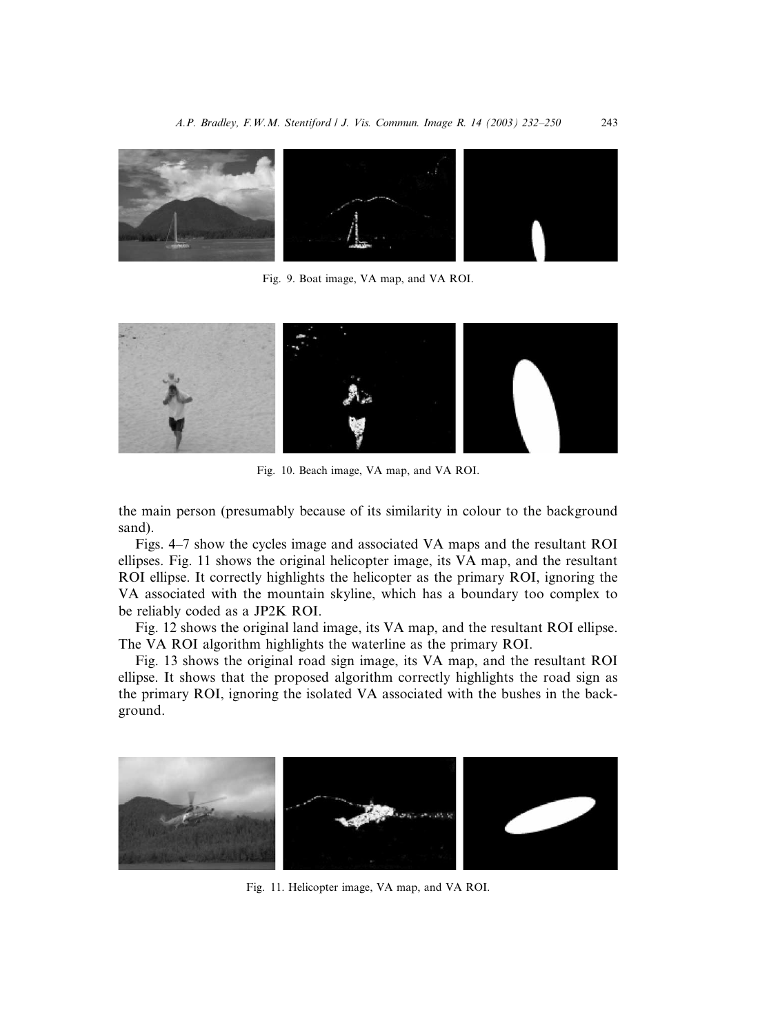

Fig. 9. Boat image, VA map, and VA ROI.



Fig. 10. Beach image, VA map, and VA ROI.

the main person (presumably because of its similarity in colour to the background sand).

Figs. 4–7 show the cycles image and associated VA maps and the resultant ROI ellipses. Fig. 11 shows the original helicopter image, its VA map, and the resultant ROI ellipse. It correctly highlights the helicopter as the primary ROI, ignoring the VA associated with the mountain skyline, which has a boundary too complex to be reliably coded as a JP2K ROI.

Fig. 12 shows the original land image, its VA map, and the resultant ROI ellipse. The VA ROI algorithm highlights the waterline as the primary ROI.

Fig. 13 shows the original road sign image, its VA map, and the resultant ROI ellipse. It shows that the proposed algorithm correctly highlights the road sign as the primary ROI, ignoring the isolated VA associated with the bushes in the background.



Fig. 11. Helicopter image, VA map, and VA ROI.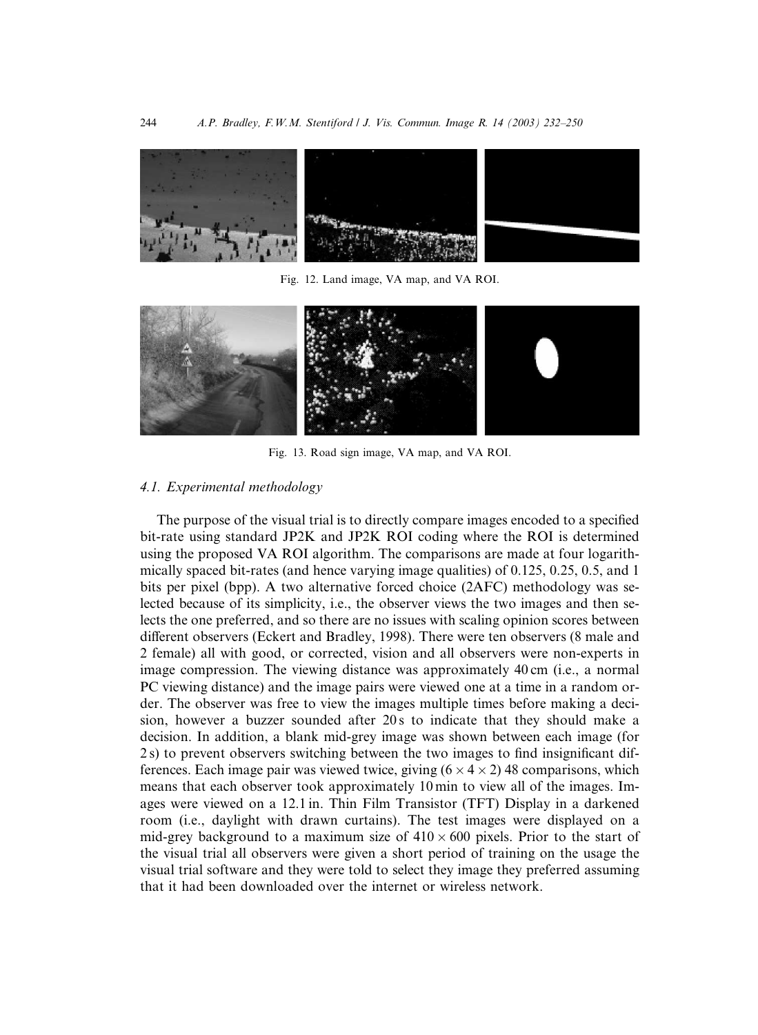

Fig. 12. Land image, VA map, and VA ROI.



Fig. 13. Road sign image, VA map, and VA ROI.

# 4.1. Experimental methodology

The purpose of the visual trial is to directly compare images encoded to a specified bit-rate using standard JP2K and JP2K ROI coding where the ROI is determined using the proposed VA ROI algorithm. The comparisons are made at four logarithmically spaced bit-rates (and hence varying image qualities) of 0.125, 0.25, 0.5, and 1 bits per pixel (bpp). A two alternative forced choice (2AFC) methodology was selected because of its simplicity, i.e., the observer views the two images and then selects the one preferred, and so there are no issues with scaling opinion scores between different observers (Eckert and Bradley, 1998). There were ten observers (8 male and 2 female) all with good, or corrected, vision and all observers were non-experts in image compression. The viewing distance was approximately 40 cm (i.e., a normal PC viewing distance) and the image pairs were viewed one at a time in a random order. The observer was free to view the images multiple times before making a decision, however a buzzer sounded after 20 s to indicate that they should make a decision. In addition, a blank mid-grey image was shown between each image (for 2 s) to prevent observers switching between the two images to find insignificant differences. Each image pair was viewed twice, giving  $(6 \times 4 \times 2)$  48 comparisons, which means that each observer took approximately 10 min to view all of the images. Images were viewed on a 12.1 in. Thin Film Transistor (TFT) Display in a darkened room (i.e., daylight with drawn curtains). The test images were displayed on a mid-grey background to a maximum size of  $410 \times 600$  pixels. Prior to the start of the visual trial all observers were given a short period of training on the usage the visual trial software and they were told to select they image they preferred assuming that it had been downloaded over the internet or wireless network.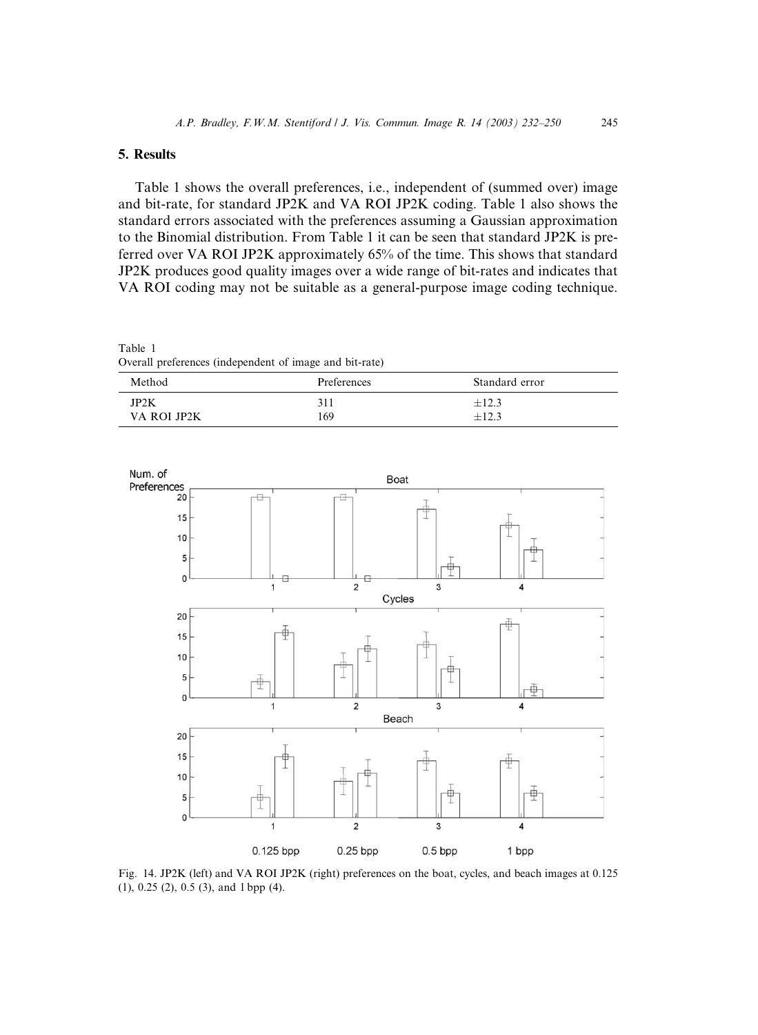# 5. Results

Table 1 shows the overall preferences, i.e., independent of (summed over) image and bit-rate, for standard JP2K and VA ROI JP2K coding. Table 1 also shows the standard errors associated with the preferences assuming a Gaussian approximation to the Binomial distribution. From Table 1 it can be seen that standard JP2K is preferred over VA ROI JP2K approximately 65% of the time. This shows that standard JP2K produces good quality images over a wide range of bit-rates and indicates that VA ROI coding may not be suitable as a general-purpose image coding technique.

Table 1 Overall preferences (independent of image and bit-rate)

| Method      | Preferences | Standard error |
|-------------|-------------|----------------|
| JP2K        | 31)         | $\pm 12.3$     |
| VA ROI JP2K | 169         | $+12.3$        |



Fig. 14. JP2K (left) and VA ROI JP2K (right) preferences on the boat, cycles, and beach images at 0.125 (1), 0.25 (2), 0.5 (3), and 1 bpp (4).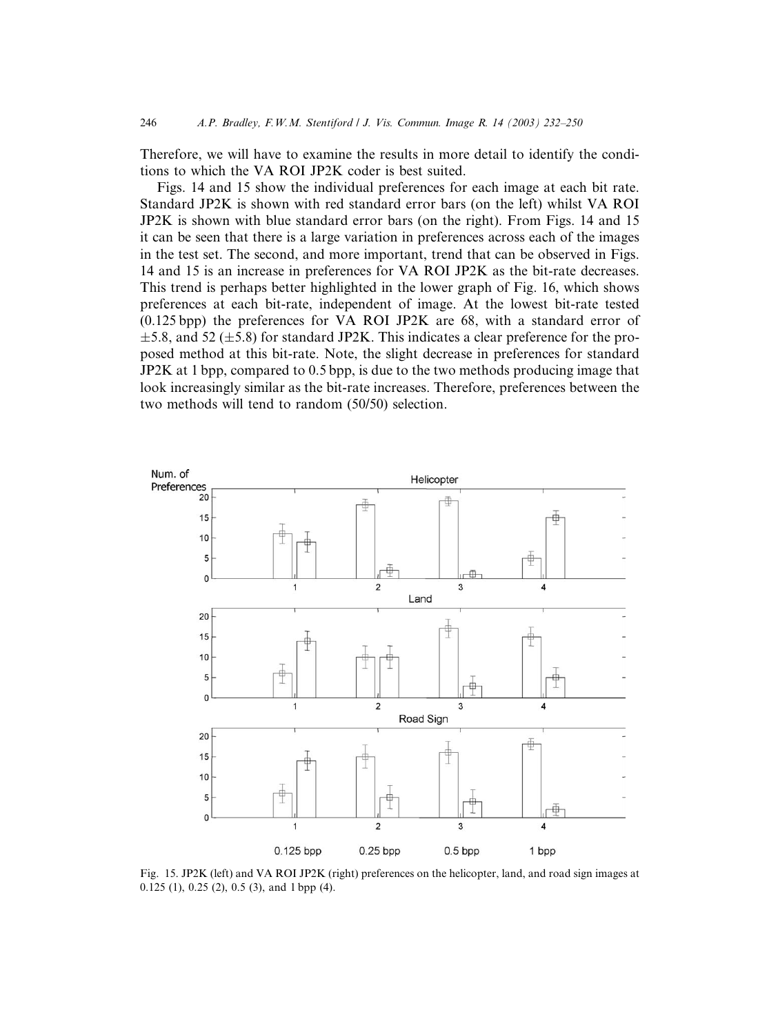Therefore, we will have to examine the results in more detail to identify the conditions to which the VA ROI JP2K coder is best suited.

Figs. 14 and 15 show the individual preferences for each image at each bit rate. Standard JP2K is shown with red standard error bars (on the left) whilst VA ROI JP2K is shown with blue standard error bars (on the right). From Figs. 14 and 15 it can be seen that there is a large variation in preferences across each of the images in the test set. The second, and more important, trend that can be observed in Figs. 14 and 15 is an increase in preferences for VA ROI JP2K as the bit-rate decreases. This trend is perhaps better highlighted in the lower graph of Fig. 16, which shows preferences at each bit-rate, independent of image. At the lowest bit-rate tested (0.125 bpp) the preferences for VA ROI JP2K are 68, with a standard error of  $\pm$ 5.8, and 52 ( $\pm$ 5.8) for standard JP2K. This indicates a clear preference for the proposed method at this bit-rate. Note, the slight decrease in preferences for standard JP2K at 1 bpp, compared to 0.5 bpp, is due to the two methods producing image that look increasingly similar as the bit-rate increases. Therefore, preferences between the two methods will tend to random (50/50) selection.



Fig. 15. JP2K (left) and VA ROI JP2K (right) preferences on the helicopter, land, and road sign images at 0.125 (1), 0.25 (2), 0.5 (3), and 1 bpp (4).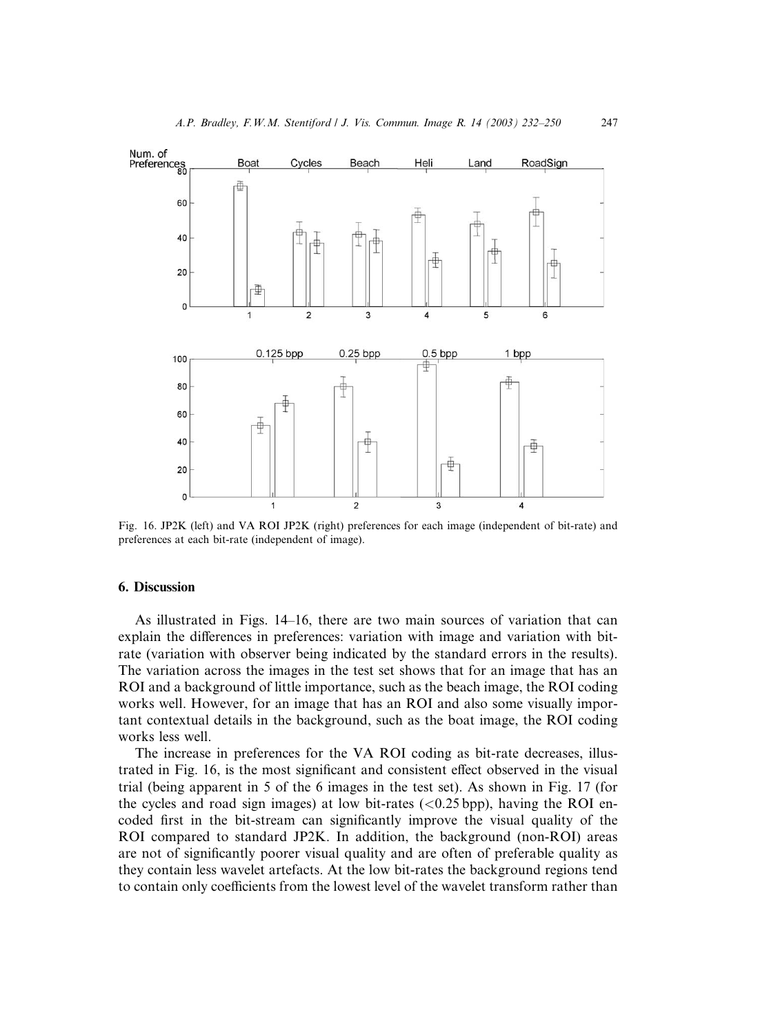

Fig. 16. JP2K (left) and VA ROI JP2K (right) preferences for each image (independent of bit-rate) and preferences at each bit-rate (independent of image).

# 6. Discussion

As illustrated in Figs. 14–16, there are two main sources of variation that can explain the differences in preferences: variation with image and variation with bitrate (variation with observer being indicated by the standard errors in the results). The variation across the images in the test set shows that for an image that has an ROI and a background of little importance, such as the beach image, the ROI coding works well. However, for an image that has an ROI and also some visually important contextual details in the background, such as the boat image, the ROI coding works less well.

The increase in preferences for the VA ROI coding as bit-rate decreases, illustrated in Fig. 16, is the most significant and consistent effect observed in the visual trial (being apparent in 5 of the 6 images in the test set). As shown in Fig. 17 (for the cycles and road sign images) at low bit-rates  $( $0.25$  bpp)$ , having the ROI encoded first in the bit-stream can significantly improve the visual quality of the ROI compared to standard JP2K. In addition, the background (non-ROI) areas are not of significantly poorer visual quality and are often of preferable quality as they contain less wavelet artefacts. At the low bit-rates the background regions tend to contain only coefficients from the lowest level of the wavelet transform rather than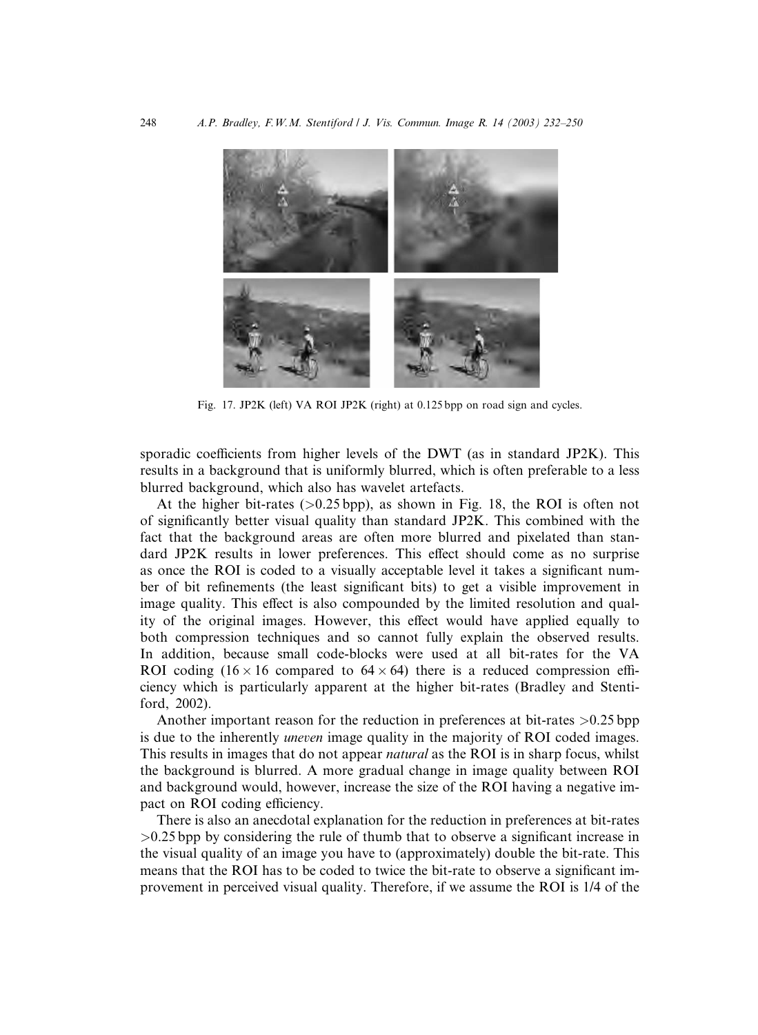

Fig. 17. JP2K (left) VA ROI JP2K (right) at 0.125 bpp on road sign and cycles.

sporadic coefficients from higher levels of the DWT (as in standard JP2K). This results in a background that is uniformly blurred, which is often preferable to a less blurred background, which also has wavelet artefacts.

At the higher bit-rates (>0.25 bpp), as shown in Fig. 18, the ROI is often not of significantly better visual quality than standard JP2K. This combined with the fact that the background areas are often more blurred and pixelated than standard JP2K results in lower preferences. This effect should come as no surprise as once the ROI is coded to a visually acceptable level it takes a significant number of bit refinements (the least significant bits) to get a visible improvement in image quality. This effect is also compounded by the limited resolution and quality of the original images. However, this effect would have applied equally to both compression techniques and so cannot fully explain the observed results. In addition, because small code-blocks were used at all bit-rates for the VA ROI coding (16  $\times$  16 compared to 64  $\times$  64) there is a reduced compression efficiency which is particularly apparent at the higher bit-rates (Bradley and Stentiford, 2002).

Another important reason for the reduction in preferences at bit-rates  $>0.25$  bpp is due to the inherently uneven image quality in the majority of ROI coded images. This results in images that do not appear *natural* as the ROI is in sharp focus, whilst the background is blurred. A more gradual change in image quality between ROI and background would, however, increase the size of the ROI having a negative impact on ROI coding efficiency.

There is also an anecdotal explanation for the reduction in preferences at bit-rates  $>0.25$  bpp by considering the rule of thumb that to observe a significant increase in the visual quality of an image you have to (approximately) double the bit-rate. This means that the ROI has to be coded to twice the bit-rate to observe a significant improvement in perceived visual quality. Therefore, if we assume the ROI is 1/4 of the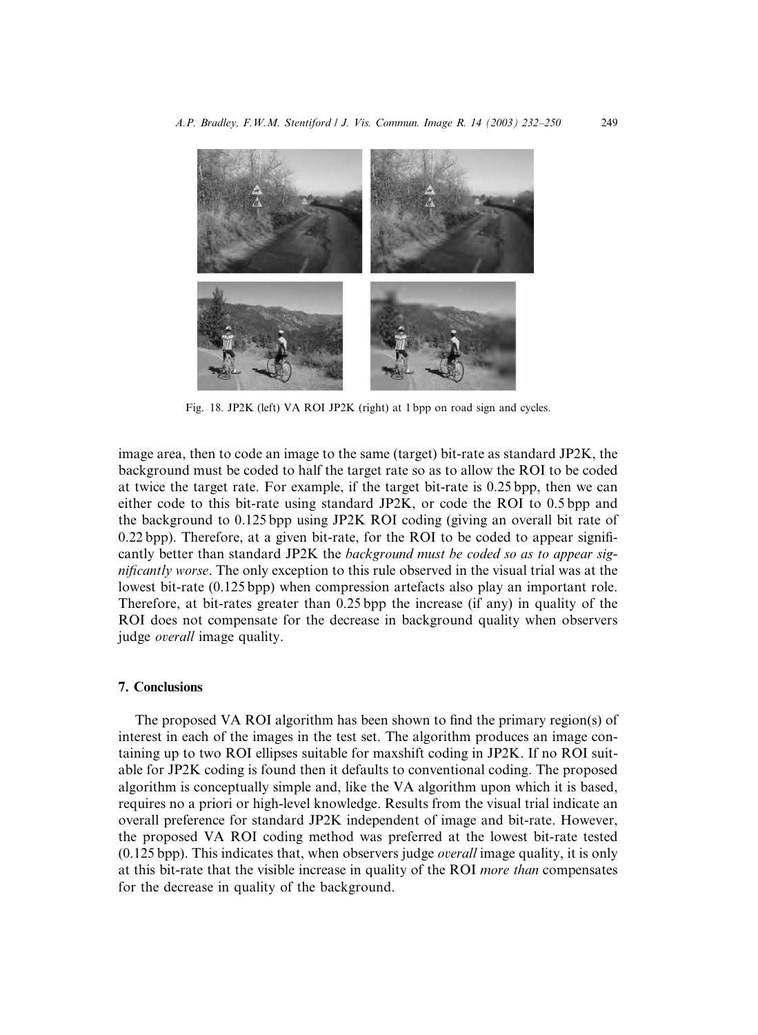

Fig. 18. JP2K (left) VA ROI JP2K (right) at 1 bpp on road sign and cycles.

image area, then to code an image to the same (target) bit-rate as standard JP2K, the background must be coded to half the target rate so as to allow the ROI to be coded at twice the target rate. For example, if the target bit-rate is 0.25 bpp, then we can either code to this bit-rate using standard JP2K, or code the ROI to 0.5 bpp and the background to 0.125 bpp using JP2K ROI coding (giving an overall bit rate of 0.22 bpp). Therefore, at a given bit-rate, for the ROI to be coded to appear significantly better than standard JP2K the background must be coded so as to appear significantly worse. The only exception to this rule observed in the visual trial was at the lowest bit-rate (0.125 bpp) when compression artefacts also play an important role. Therefore, at bit-rates greater than 0.25 bpp the increase (if any) in quality of the ROI does not compensate for the decrease in background quality when observers judge overall image quality.

## 7. Conclusions

The proposed VA ROI algorithm has been shown to find the primary region(s) of interest in each of the images in the test set. The algorithm produces an image containing up to two ROI ellipses suitable for maxshift coding in JP2K. If no ROI suitable for JP2K coding is found then it defaults to conventional coding. The proposed algorithm is conceptually simple and, like the VA algorithm upon which it is based, requires no a priori or high-level knowledge. Results from the visual trial indicate an overall preference for standard JP2K independent of image and bit-rate. However, the proposed VA ROI coding method was preferred at the lowest bit-rate tested  $(0.125$  bpp). This indicates that, when observers judge *overall* image quality, it is only at this bit-rate that the visible increase in quality of the ROI more than compensates for the decrease in quality of the background.